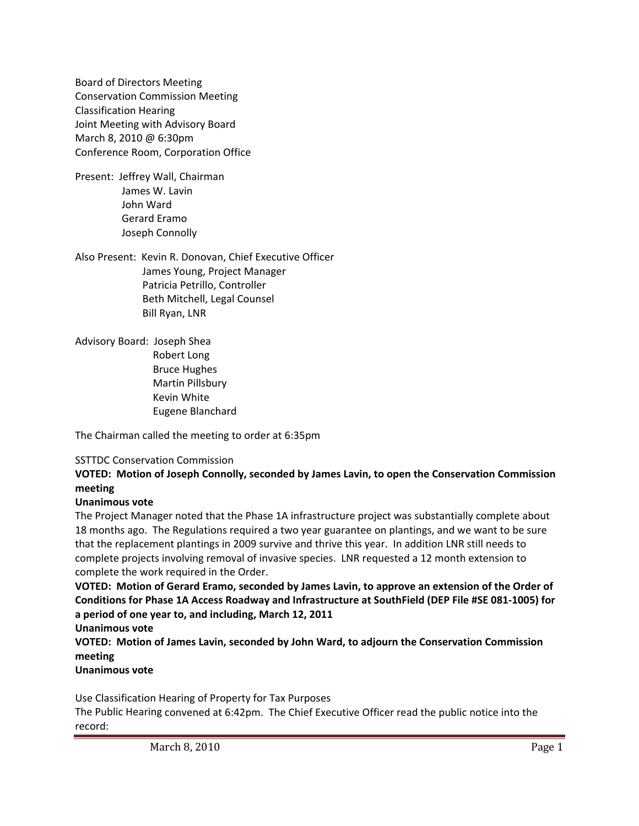Board of Directors Meeting Conservation Commission Meeting Classification Hearing Joint Meeting with Advisory Board March 8, 2010 @ 6:30pm Conference Room, Corporation Office

Present: Jeffrey Wall, Chairman James W. Lavin John Ward Gerard Eramo Joseph Connolly

Also Present: Kevin R. Donovan, Chief Executive Officer James Young, Project Manager Patricia Petrillo, Controller Beth Mitchell, Legal Counsel Bill Ryan, LNR

Advisory Board: Joseph Shea Robert Long Bruce Hughes Martin Pillsbury Kevin White Eugene Blanchard

The Chairman called the meeting to order at 6:35pm

## SSTTDC Conservation Commission

# **VOTED: Motion of Joseph Connolly, seconded by James Lavin, to open the Conservation Commission meeting**

## **Unanimous vote**

The Project Manager noted that the Phase 1A infrastructure project was substantially complete about 18 months ago. The Regulations required a two year guarantee on plantings, and we want to be sure that the replacement plantings in 2009 survive and thrive this year. In addition LNR still needs to complete projects involving removal of invasive species. LNR requested a 12 month extension to complete the work required in the Order.

**VOTED: Motion of Gerard Eramo, seconded by James Lavin, to approve an extension of the Order of Conditions for Phase 1A Access Roadway and Infrastructure at SouthField (DEP File #SE 081‐1005) for a period of one year to, and including, March 12, 2011**

**Unanimous vote**

**VOTED: Motion of James Lavin, seconded by John Ward, to adjourn the Conservation Commission meeting**

**Unanimous vote**

Use Classification Hearing of Property for Tax Purposes

The Public Hearing convened at 6:42pm. The Chief Executive Officer read the public notice into the record: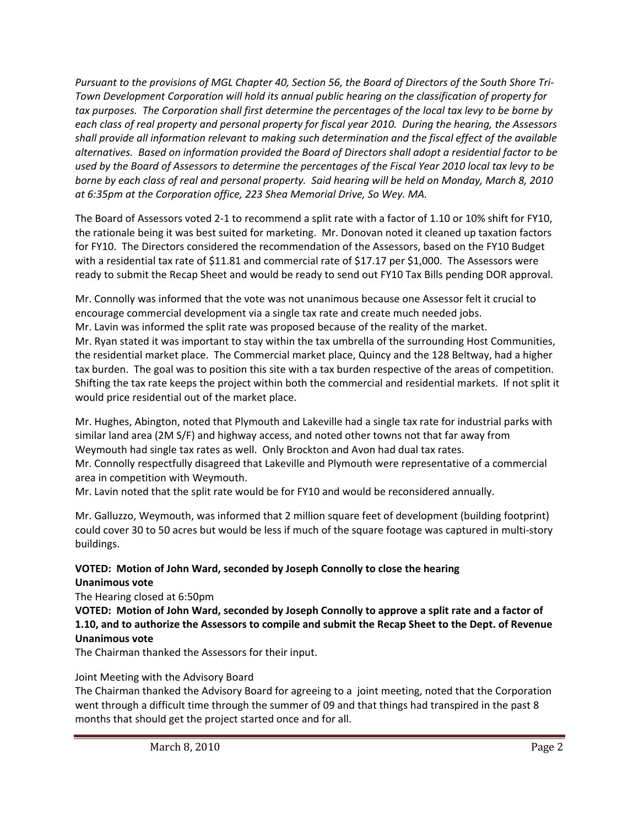Pursuant to the provisions of MGL Chapter 40, Section 56, the Board of Directors of the South Shore Tri-*Town Development Corporation will hold its annual public hearing on the classification of property for* tax purposes. The Corporation shall first determine the percentages of the local tax levy to be borne by each class of real property and personal property for fiscal year 2010. During the hearing, the Assessors *shall provide all information relevant to making such determination and the fiscal effect of the available* alternatives. Based on information provided the Board of Directors shall adopt a residential factor to be used by the Board of Assessors to determine the percentages of the Fiscal Year 2010 local tax levy to be borne by each class of real and personal property. Said hearing will be held on Monday, March 8, 2010 *at 6:35pm at the Corporation office, 223 Shea Memorial Drive, So Wey. MA.*

The Board of Assessors voted 2‐1 to recommend a split rate with a factor of 1.10 or 10% shift for FY10, the rationale being it was best suited for marketing. Mr. Donovan noted it cleaned up taxation factors for FY10. The Directors considered the recommendation of the Assessors, based on the FY10 Budget with a residential tax rate of \$11.81 and commercial rate of \$17.17 per \$1,000. The Assessors were ready to submit the Recap Sheet and would be ready to send out FY10 Tax Bills pending DOR approval.

Mr. Connolly was informed that the vote was not unanimous because one Assessor felt it crucial to encourage commercial development via a single tax rate and create much needed jobs. Mr. Lavin was informed the split rate was proposed because of the reality of the market. Mr. Ryan stated it was important to stay within the tax umbrella of the surrounding Host Communities, the residential market place. The Commercial market place, Quincy and the 128 Beltway, had a higher tax burden. The goal was to position this site with a tax burden respective of the areas of competition. Shifting the tax rate keeps the project within both the commercial and residential markets. If not split it would price residential out of the market place.

Mr. Hughes, Abington, noted that Plymouth and Lakeville had a single tax rate for industrial parks with similar land area (2M S/F) and highway access, and noted other towns not that far away from Weymouth had single tax rates as well. Only Brockton and Avon had dual tax rates.

Mr. Connolly respectfully disagreed that Lakeville and Plymouth were representative of a commercial area in competition with Weymouth.

Mr. Lavin noted that the split rate would be for FY10 and would be reconsidered annually.

Mr. Galluzzo, Weymouth, was informed that 2 million square feet of development (building footprint) could cover 30 to 50 acres but would be less if much of the square footage was captured in multi‐story buildings.

#### **VOTED: Motion of John Ward, seconded by Joseph Connolly to close the hearing Unanimous vote**

The Hearing closed at 6:50pm

VOTED: Motion of John Ward, seconded by Joseph Connolly to approve a split rate and a factor of **1.10, and to authorize the Assessors to compile and submit the Recap Sheet to the Dept. of Revenue Unanimous vote**

The Chairman thanked the Assessors for their input.

# Joint Meeting with the Advisory Board

The Chairman thanked the Advisory Board for agreeing to a joint meeting, noted that the Corporation went through a difficult time through the summer of 09 and that things had transpired in the past 8 months that should get the project started once and for all.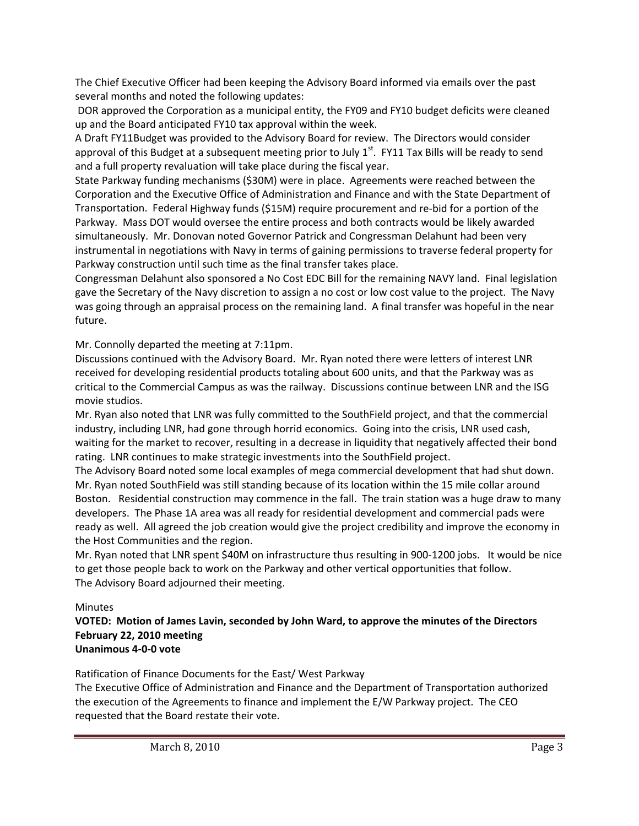The Chief Executive Officer had been keeping the Advisory Board informed via emails over the past several months and noted the following updates:

DOR approved the Corporation as a municipal entity, the FY09 and FY10 budget deficits were cleaned up and the Board anticipated FY10 tax approval within the week.

A Draft FY11Budget was provided to the Advisory Board for review. The Directors would consider approval of this Budget at a subsequent meeting prior to July  $1<sup>st</sup>$ . FY11 Tax Bills will be ready to send and a full property revaluation will take place during the fiscal year.

State Parkway funding mechanisms (\$30M) were in place. Agreements were reached between the Corporation and the Executive Office of Administration and Finance and with the State Department of Transportation. Federal Highway funds (\$15M) require procurement and re‐bid for a portion of the Parkway. Mass DOT would oversee the entire process and both contracts would be likely awarded simultaneously. Mr. Donovan noted Governor Patrick and Congressman Delahunt had been very instrumental in negotiations with Navy in terms of gaining permissions to traverse federal property for Parkway construction until such time as the final transfer takes place.

Congressman Delahunt also sponsored a No Cost EDC Bill for the remaining NAVY land. Final legislation gave the Secretary of the Navy discretion to assign a no cost or low cost value to the project. The Navy was going through an appraisal process on the remaining land. A final transfer was hopeful in the near future.

Mr. Connolly departed the meeting at 7:11pm.

Discussions continued with the Advisory Board. Mr. Ryan noted there were letters of interest LNR received for developing residential products totaling about 600 units, and that the Parkway was as critical to the Commercial Campus as was the railway. Discussions continue between LNR and the ISG movie studios.

Mr. Ryan also noted that LNR was fully committed to the SouthField project, and that the commercial industry, including LNR, had gone through horrid economics. Going into the crisis, LNR used cash, waiting for the market to recover, resulting in a decrease in liquidity that negatively affected their bond rating. LNR continues to make strategic investments into the SouthField project.

The Advisory Board noted some local examples of mega commercial development that had shut down. Mr. Ryan noted SouthField was still standing because of its location within the 15 mile collar around Boston. Residential construction may commence in the fall. The train station was a huge draw to many developers. The Phase 1A area was all ready for residential development and commercial pads were ready as well. All agreed the job creation would give the project credibility and improve the economy in the Host Communities and the region.

Mr. Ryan noted that LNR spent \$40M on infrastructure thus resulting in 900‐1200 jobs. It would be nice to get those people back to work on the Parkway and other vertical opportunities that follow. The Advisory Board adjourned their meeting.

## Minutes

**VOTED: Motion of James Lavin, seconded by John Ward, to approve the minutes of the Directors February 22, 2010 meeting Unanimous 4‐0‐0 vote**

Ratification of Finance Documents for the East/ West Parkway

The Executive Office of Administration and Finance and the Department of Transportation authorized the execution of the Agreements to finance and implement the E/W Parkway project. The CEO requested that the Board restate their vote.